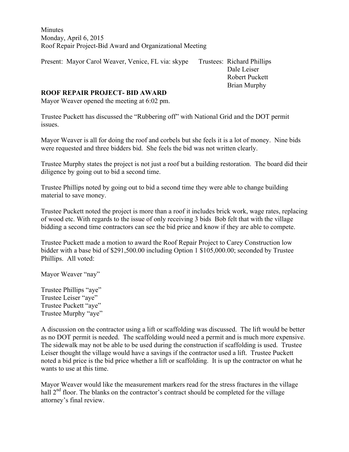Minutes Monday, April 6, 2015 Roof Repair Project-Bid Award and Organizational Meeting

Present: Mayor Carol Weaver, Venice, FL via: skype Trustees: Richard Phillips

 Dale Leiser Robert Puckett Brian Murphy

## **ROOF REPAIR PROJECT- BID AWARD**

Mayor Weaver opened the meeting at 6:02 pm.

Trustee Puckett has discussed the "Rubbering off" with National Grid and the DOT permit issues.

Mayor Weaver is all for doing the roof and corbels but she feels it is a lot of money. Nine bids were requested and three bidders bid. She feels the bid was not written clearly.

Trustee Murphy states the project is not just a roof but a building restoration. The board did their diligence by going out to bid a second time.

Trustee Phillips noted by going out to bid a second time they were able to change building material to save money.

Trustee Puckett noted the project is more than a roof it includes brick work, wage rates, replacing of wood etc. With regards to the issue of only receiving 3 bids Bob felt that with the village bidding a second time contractors can see the bid price and know if they are able to compete.

Trustee Puckett made a motion to award the Roof Repair Project to Carey Construction low bidder with a base bid of \$291,500.00 including Option 1 \$105,000.00; seconded by Trustee Phillips. All voted:

Mayor Weaver "nay"

Trustee Phillips "aye" Trustee Leiser "aye" Trustee Puckett "aye" Trustee Murphy "aye"

A discussion on the contractor using a lift or scaffolding was discussed. The lift would be better as no DOT permit is needed. The scaffolding would need a permit and is much more expensive. The sidewalk may not be able to be used during the construction if scaffolding is used. Trustee Leiser thought the village would have a savings if the contractor used a lift. Trustee Puckett noted a bid price is the bid price whether a lift or scaffolding. It is up the contractor on what he wants to use at this time.

Mayor Weaver would like the measurement markers read for the stress fractures in the village hall  $2<sup>nd</sup>$  floor. The blanks on the contractor's contract should be completed for the village attorney's final review.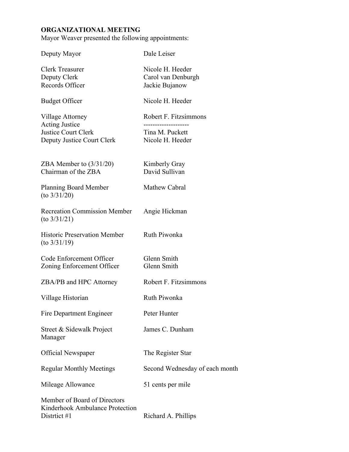## **ORGANIZATIONAL MEETING**

Mayor Weaver presented the following appointments:

| Deputy Mayor                                                                                          | Dale Leiser                                                                      |
|-------------------------------------------------------------------------------------------------------|----------------------------------------------------------------------------------|
| <b>Clerk Treasurer</b><br>Deputy Clerk<br>Records Officer                                             | Nicole H. Heeder<br>Carol van Denburgh<br>Jackie Bujanow                         |
| <b>Budget Officer</b>                                                                                 | Nicole H. Heeder                                                                 |
| Village Attorney<br><b>Acting Justice</b><br><b>Justice Court Clerk</b><br>Deputy Justice Court Clerk | Robert F. Fitzsimmons<br>----------------<br>Tina M. Puckett<br>Nicole H. Heeder |
| ZBA Member to $(3/31/20)$<br>Chairman of the ZBA                                                      | Kimberly Gray<br>David Sullivan                                                  |
| Planning Board Member<br>$(to \frac{3}{3} \frac{1}{20})$                                              | Mathew Cabral                                                                    |
| <b>Recreation Commission Member</b><br>$($ to $3/31/21)$                                              | Angie Hickman                                                                    |
| <b>Historic Preservation Member</b><br>$(to \frac{3}{3}1/19)$                                         | Ruth Piwonka                                                                     |
| Code Enforcement Officer<br>Zoning Enforcement Officer                                                | Glenn Smith<br>Glenn Smith                                                       |
| ZBA/PB and HPC Attorney                                                                               | Robert F. Fitzsimmons                                                            |
| Village Historian                                                                                     | Ruth Piwonka                                                                     |
| Fire Department Engineer                                                                              | Peter Hunter                                                                     |
| Street & Sidewalk Project<br>Manager                                                                  | James C. Dunham                                                                  |
| <b>Official Newspaper</b>                                                                             | The Register Star                                                                |
| <b>Regular Monthly Meetings</b>                                                                       | Second Wednesday of each month                                                   |
| Mileage Allowance                                                                                     | 51 cents per mile                                                                |
| Member of Board of Directors<br>Kinderhook Ambulance Protection<br>Distrtict #1                       | Richard A. Phillips                                                              |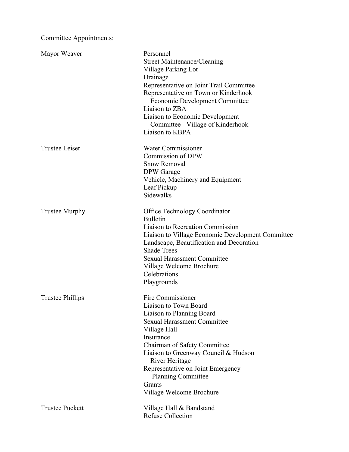Committee Appointments:

| Mayor Weaver            | Personnel<br><b>Street Maintenance/Cleaning</b><br>Village Parking Lot<br>Drainage<br>Representative on Joint Trail Committee<br>Representative on Town or Kinderhook<br><b>Economic Development Committee</b><br>Liaison to ZBA<br>Liaison to Economic Development<br>Committee - Village of Kinderhook<br>Liaison to KBPA                  |
|-------------------------|----------------------------------------------------------------------------------------------------------------------------------------------------------------------------------------------------------------------------------------------------------------------------------------------------------------------------------------------|
| <b>Trustee Leiser</b>   | <b>Water Commissioner</b><br>Commission of DPW<br><b>Snow Removal</b><br><b>DPW</b> Garage<br>Vehicle, Machinery and Equipment<br>Leaf Pickup<br>Sidewalks                                                                                                                                                                                   |
| <b>Trustee Murphy</b>   | Office Technology Coordinator<br><b>Bulletin</b><br><b>Liaison to Recreation Commission</b><br>Liaison to Village Economic Development Committee<br>Landscape, Beautification and Decoration<br><b>Shade Trees</b><br><b>Sexual Harassment Committee</b><br>Village Welcome Brochure<br>Celebrations<br>Playgrounds                          |
| <b>Trustee Phillips</b> | Fire Commissioner<br>Liaison to Town Board<br>Liaison to Planning Board<br><b>Sexual Harassment Committee</b><br>Village Hall<br>Insurance<br>Chairman of Safety Committee<br>Liaison to Greenway Council & Hudson<br>River Heritage<br>Representative on Joint Emergency<br><b>Planning Committee</b><br>Grants<br>Village Welcome Brochure |
| <b>Trustee Puckett</b>  | Village Hall & Bandstand<br><b>Refuse Collection</b>                                                                                                                                                                                                                                                                                         |